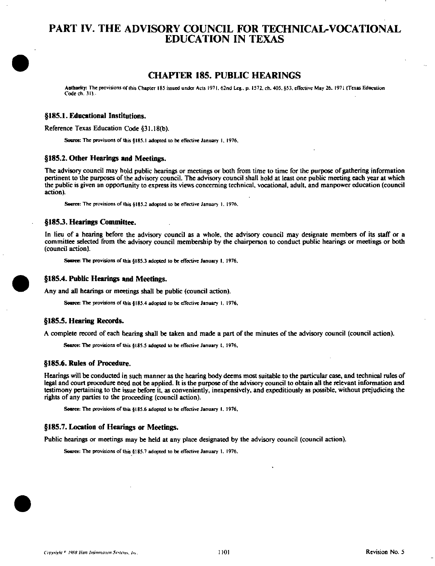## PART IV. THE ADVISORY COUNCIL FOR TECHNICAL-VOCATIONAL EDUCATION IN TEXAS

### CHAPTER 185. PUBLIC HEARINGS

Antbority: The provisions ofihis Chapter 185 issued under Acts 197 j . 62nd Leg., p. 1572. ch. 405, §53. effective May 26. 1971 (Texas Education Code ch. 31).

#### §185.1. Educational Institutions.

Reference Texas Education Code §31.18(b).

Source: The provisions of this §185.1 adopted to be effective January 1, 1976.

#### §185.2. Other Hearings and Meetings.

The advisory council may hold public hearings or meetings or both from time to time for the purpose of gathering information pertinent to the purposes of the advisory council. The advisory council shall hold at least one public meeting each year at which the public is given an opportunity to express its views concerning technical, vocational, adult, and manpower education (council action).

Source: The provisions of this §185.2 adopted to be effective January 1. 1976.

#### §1853. Hearings Committee.

In lieu of a hearing before the advisory council as a whole, the advisory council may designate members of its staff or a committee selected from the advisory council membership by the chairperson to conduct public hearings or meetings or both (council action).

Source: The provisions of this §185.3 adopted to be effective January 1, 1976,



#### §185.4. Public Hearings and Meetings.

Any and all hearings or meetings shall be public (council action).

Source: The provisions of this §185.4 adopted to be effective January 1, 1976,

#### §185.5. Hearing Records.

A complete record of each hearing shall be taken and made a part of the minutes of the advisory council (council action).

Source: The provisions of this §185.5 adopted to be effective January 1, 1976,

#### §185.6. Rules of Procedure.

Hearings will be conducted in such manner as the hearing body deems most suitable to the particular case, and technical rules of legal and court procedure need not be applied. It is the purpose of the advisory council to obtain all the relevant information and testimony pertaining to the issue before it, as convenientiy, inexpensively, and expeditiously as possible, without prejudicing the rights of any parties to the proceeding (council action).

Soarce: The provisions of this §185.6 adopted to be effective January 1, 1976,

#### §185.7. Location of Hearings or Meetings.

Public hearings or meetings may be held at any place designated by the advisory council (council action).

Source: The provisions of this §185.7 adopted to be effective January 1. 1976.